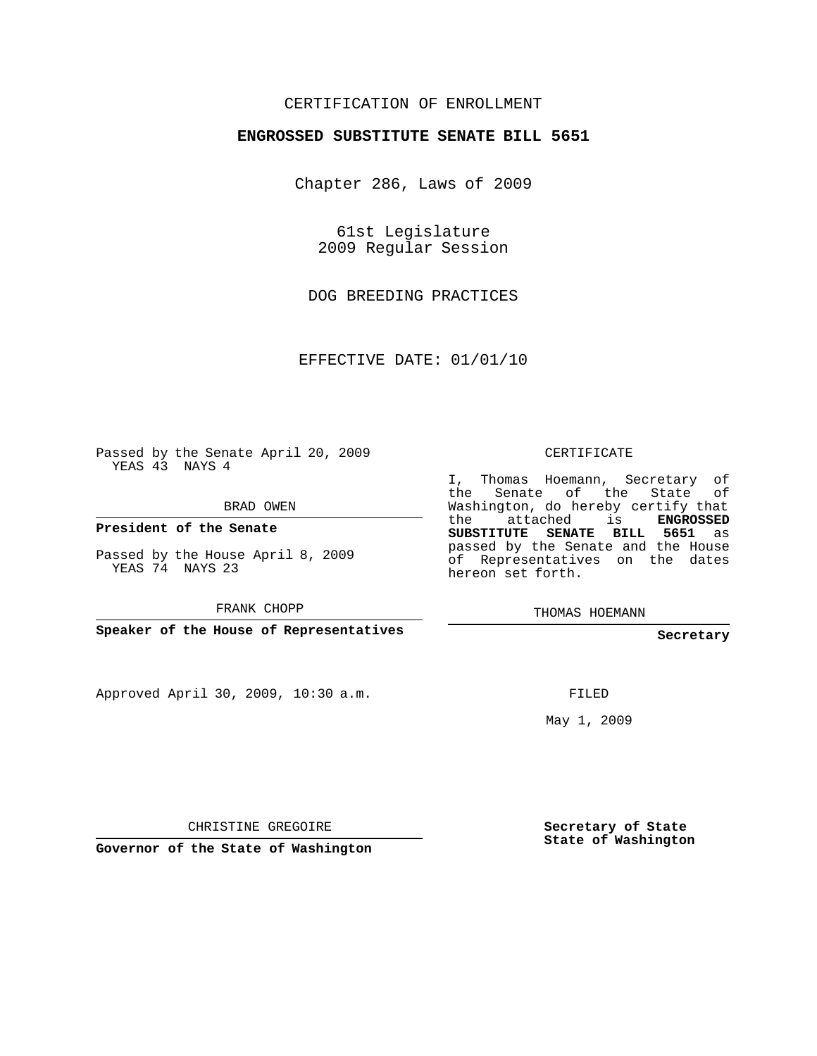## CERTIFICATION OF ENROLLMENT

## **ENGROSSED SUBSTITUTE SENATE BILL 5651**

Chapter 286, Laws of 2009

61st Legislature 2009 Regular Session

DOG BREEDING PRACTICES

EFFECTIVE DATE: 01/01/10

Passed by the Senate April 20, 2009 YEAS 43 NAYS 4

BRAD OWEN

**President of the Senate**

Passed by the House April 8, 2009 YEAS 74 NAYS 23

FRANK CHOPP

**Speaker of the House of Representatives**

Approved April 30, 2009, 10:30 a.m.

CERTIFICATE

I, Thomas Hoemann, Secretary of the Senate of the State Washington, do hereby certify that the attached is **ENGROSSED SUBSTITUTE SENATE BILL 5651** as passed by the Senate and the House of Representatives on the dates hereon set forth.

THOMAS HOEMANN

**Secretary**

FILED

May 1, 2009

CHRISTINE GREGOIRE

**Governor of the State of Washington**

**Secretary of State State of Washington**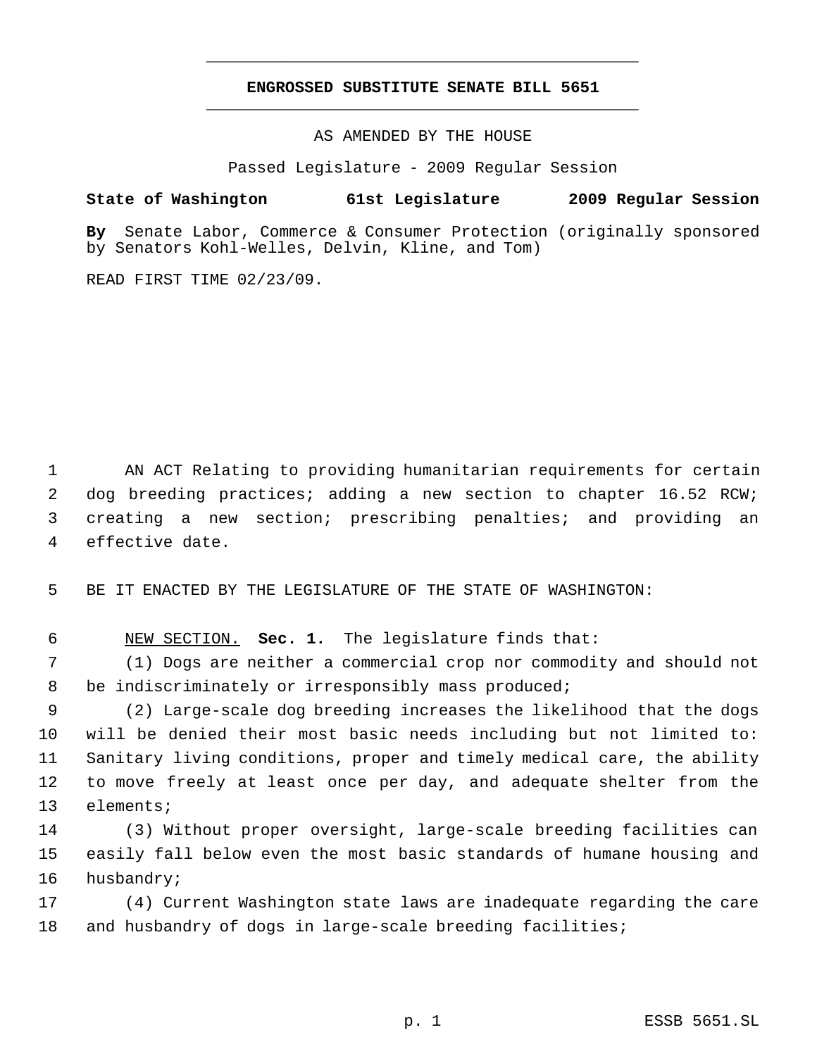## **ENGROSSED SUBSTITUTE SENATE BILL 5651** \_\_\_\_\_\_\_\_\_\_\_\_\_\_\_\_\_\_\_\_\_\_\_\_\_\_\_\_\_\_\_\_\_\_\_\_\_\_\_\_\_\_\_\_\_

\_\_\_\_\_\_\_\_\_\_\_\_\_\_\_\_\_\_\_\_\_\_\_\_\_\_\_\_\_\_\_\_\_\_\_\_\_\_\_\_\_\_\_\_\_

AS AMENDED BY THE HOUSE

Passed Legislature - 2009 Regular Session

## **State of Washington 61st Legislature 2009 Regular Session**

**By** Senate Labor, Commerce & Consumer Protection (originally sponsored by Senators Kohl-Welles, Delvin, Kline, and Tom)

READ FIRST TIME 02/23/09.

 AN ACT Relating to providing humanitarian requirements for certain dog breeding practices; adding a new section to chapter 16.52 RCW; creating a new section; prescribing penalties; and providing an effective date.

BE IT ENACTED BY THE LEGISLATURE OF THE STATE OF WASHINGTON:

NEW SECTION. **Sec. 1.** The legislature finds that:

 (1) Dogs are neither a commercial crop nor commodity and should not 8 be indiscriminately or irresponsibly mass produced;

 (2) Large-scale dog breeding increases the likelihood that the dogs will be denied their most basic needs including but not limited to: Sanitary living conditions, proper and timely medical care, the ability to move freely at least once per day, and adequate shelter from the elements;

 (3) Without proper oversight, large-scale breeding facilities can easily fall below even the most basic standards of humane housing and husbandry;

 (4) Current Washington state laws are inadequate regarding the care and husbandry of dogs in large-scale breeding facilities;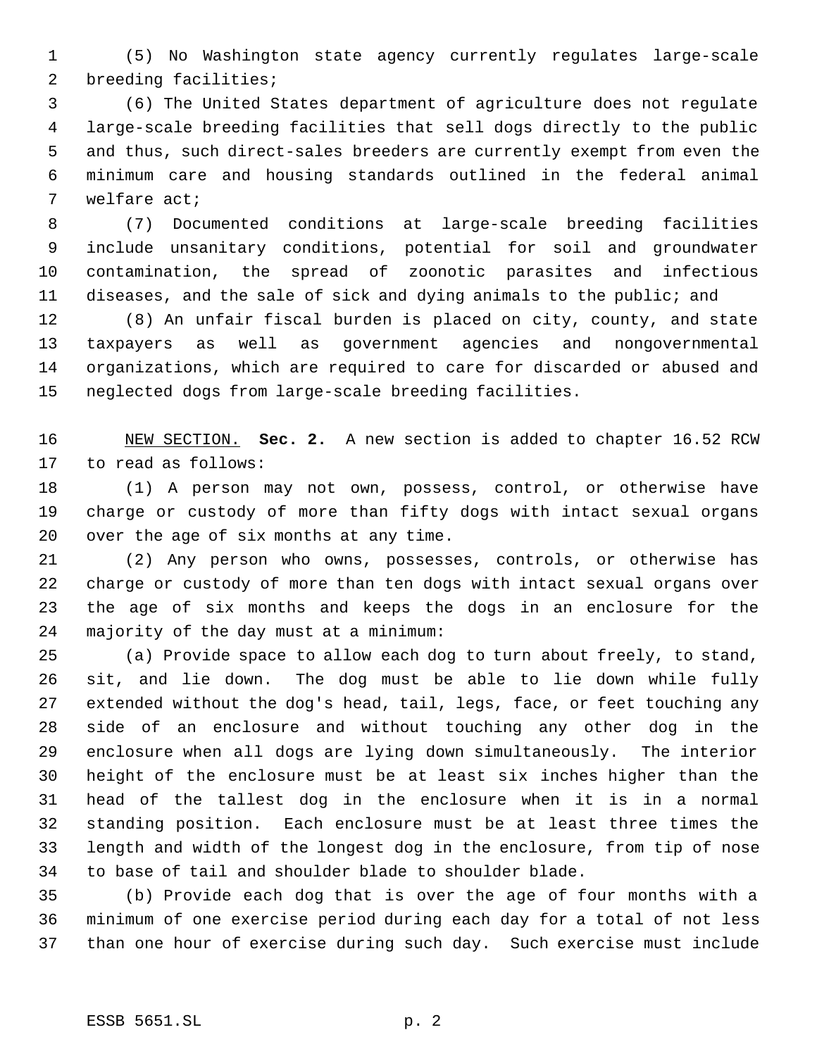(5) No Washington state agency currently regulates large-scale breeding facilities;

 (6) The United States department of agriculture does not regulate large-scale breeding facilities that sell dogs directly to the public and thus, such direct-sales breeders are currently exempt from even the minimum care and housing standards outlined in the federal animal welfare act;

 (7) Documented conditions at large-scale breeding facilities include unsanitary conditions, potential for soil and groundwater contamination, the spread of zoonotic parasites and infectious diseases, and the sale of sick and dying animals to the public; and

 (8) An unfair fiscal burden is placed on city, county, and state taxpayers as well as government agencies and nongovernmental organizations, which are required to care for discarded or abused and neglected dogs from large-scale breeding facilities.

 NEW SECTION. **Sec. 2.** A new section is added to chapter 16.52 RCW to read as follows:

 (1) A person may not own, possess, control, or otherwise have charge or custody of more than fifty dogs with intact sexual organs over the age of six months at any time.

 (2) Any person who owns, possesses, controls, or otherwise has charge or custody of more than ten dogs with intact sexual organs over the age of six months and keeps the dogs in an enclosure for the majority of the day must at a minimum:

 (a) Provide space to allow each dog to turn about freely, to stand, sit, and lie down. The dog must be able to lie down while fully extended without the dog's head, tail, legs, face, or feet touching any side of an enclosure and without touching any other dog in the enclosure when all dogs are lying down simultaneously. The interior height of the enclosure must be at least six inches higher than the head of the tallest dog in the enclosure when it is in a normal standing position. Each enclosure must be at least three times the length and width of the longest dog in the enclosure, from tip of nose to base of tail and shoulder blade to shoulder blade.

 (b) Provide each dog that is over the age of four months with a minimum of one exercise period during each day for a total of not less than one hour of exercise during such day. Such exercise must include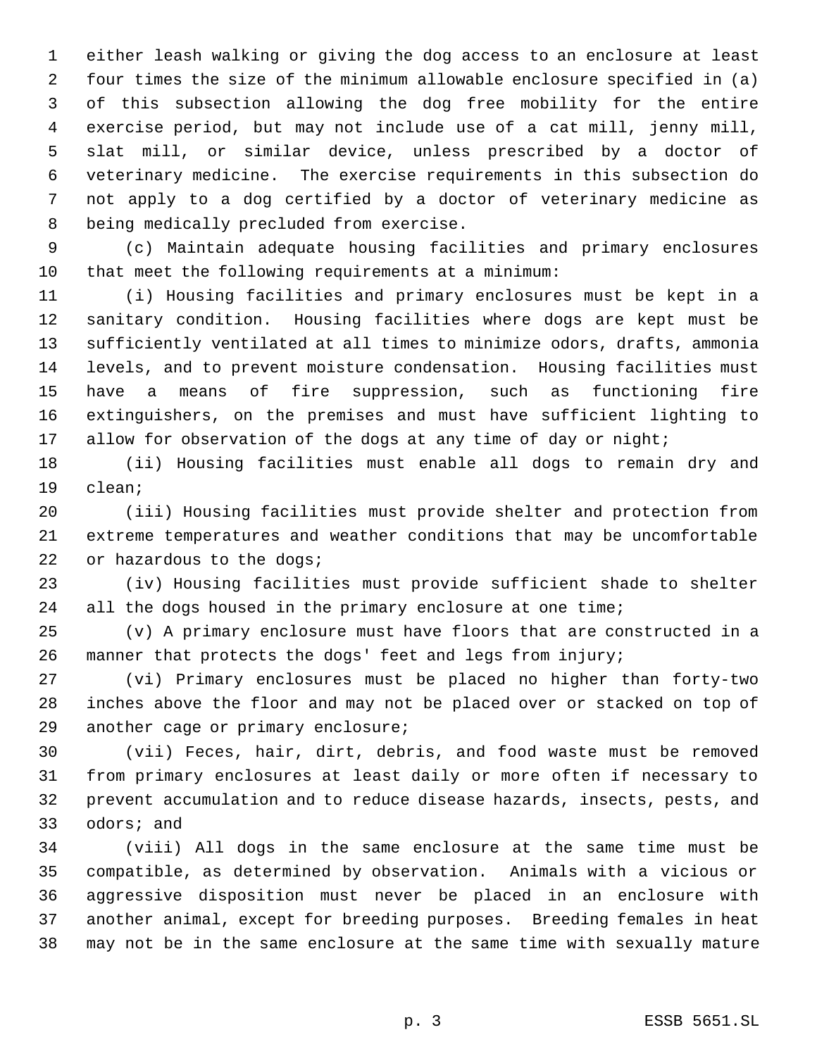either leash walking or giving the dog access to an enclosure at least four times the size of the minimum allowable enclosure specified in (a) of this subsection allowing the dog free mobility for the entire exercise period, but may not include use of a cat mill, jenny mill, slat mill, or similar device, unless prescribed by a doctor of veterinary medicine. The exercise requirements in this subsection do not apply to a dog certified by a doctor of veterinary medicine as being medically precluded from exercise.

 (c) Maintain adequate housing facilities and primary enclosures that meet the following requirements at a minimum:

 (i) Housing facilities and primary enclosures must be kept in a sanitary condition. Housing facilities where dogs are kept must be sufficiently ventilated at all times to minimize odors, drafts, ammonia levels, and to prevent moisture condensation. Housing facilities must have a means of fire suppression, such as functioning fire extinguishers, on the premises and must have sufficient lighting to 17 allow for observation of the dogs at any time of day or night;

 (ii) Housing facilities must enable all dogs to remain dry and clean;

 (iii) Housing facilities must provide shelter and protection from extreme temperatures and weather conditions that may be uncomfortable 22 or hazardous to the dogs;

 (iv) Housing facilities must provide sufficient shade to shelter 24 all the dogs housed in the primary enclosure at one time;

 (v) A primary enclosure must have floors that are constructed in a manner that protects the dogs' feet and legs from injury;

 (vi) Primary enclosures must be placed no higher than forty-two inches above the floor and may not be placed over or stacked on top of another cage or primary enclosure;

 (vii) Feces, hair, dirt, debris, and food waste must be removed from primary enclosures at least daily or more often if necessary to prevent accumulation and to reduce disease hazards, insects, pests, and odors; and

 (viii) All dogs in the same enclosure at the same time must be compatible, as determined by observation. Animals with a vicious or aggressive disposition must never be placed in an enclosure with another animal, except for breeding purposes. Breeding females in heat may not be in the same enclosure at the same time with sexually mature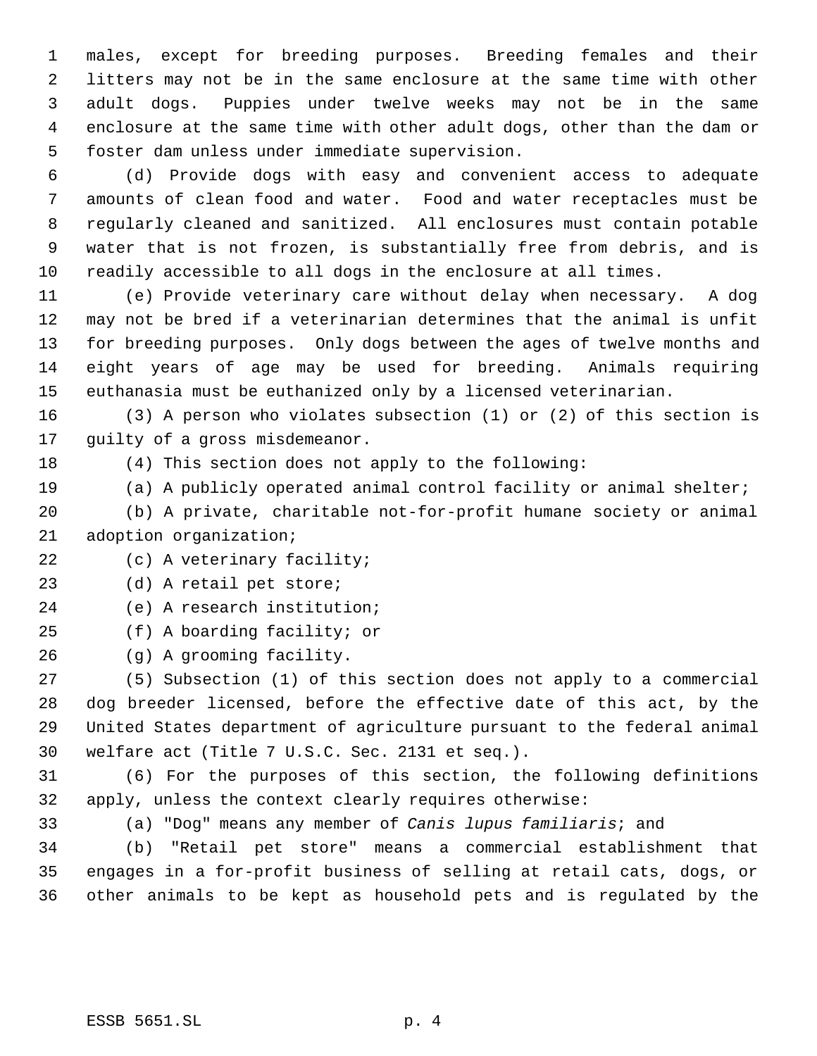males, except for breeding purposes. Breeding females and their litters may not be in the same enclosure at the same time with other adult dogs. Puppies under twelve weeks may not be in the same enclosure at the same time with other adult dogs, other than the dam or foster dam unless under immediate supervision.

 (d) Provide dogs with easy and convenient access to adequate amounts of clean food and water. Food and water receptacles must be regularly cleaned and sanitized. All enclosures must contain potable water that is not frozen, is substantially free from debris, and is readily accessible to all dogs in the enclosure at all times.

 (e) Provide veterinary care without delay when necessary. A dog may not be bred if a veterinarian determines that the animal is unfit for breeding purposes. Only dogs between the ages of twelve months and eight years of age may be used for breeding. Animals requiring euthanasia must be euthanized only by a licensed veterinarian.

 (3) A person who violates subsection (1) or (2) of this section is guilty of a gross misdemeanor.

(4) This section does not apply to the following:

(a) A publicly operated animal control facility or animal shelter;

 (b) A private, charitable not-for-profit humane society or animal adoption organization;

22 (c) A veterinary facility;

(d) A retail pet store;

(e) A research institution;

(f) A boarding facility; or

(g) A grooming facility.

 (5) Subsection (1) of this section does not apply to a commercial dog breeder licensed, before the effective date of this act, by the United States department of agriculture pursuant to the federal animal welfare act (Title 7 U.S.C. Sec. 2131 et seq.).

 (6) For the purposes of this section, the following definitions apply, unless the context clearly requires otherwise:

(a) "Dog" means any member of *Canis lupus familiaris*; and

 (b) "Retail pet store" means a commercial establishment that engages in a for-profit business of selling at retail cats, dogs, or other animals to be kept as household pets and is regulated by the